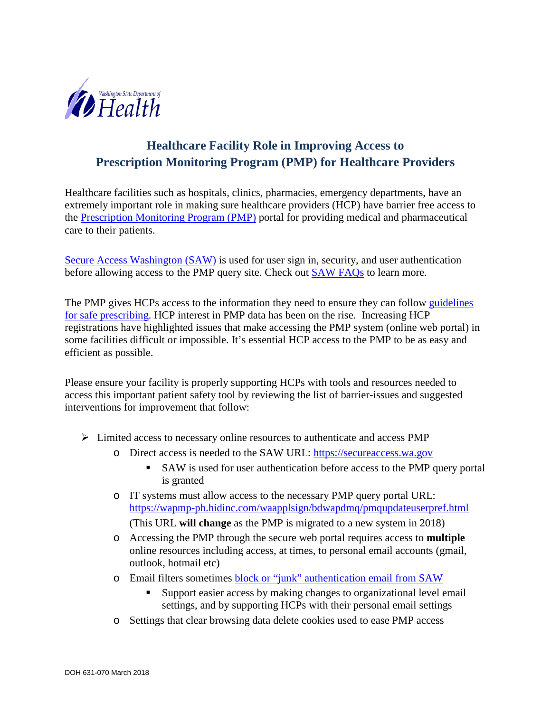

# **Healthcare Facility Role in Improving Access to Prescription Monitoring Program (PMP) for Healthcare Providers**

Healthcare facilities such as hospitals, clinics, pharmacies, emergency departments, have an extremely important role in making sure healthcare providers (HCP) have barrier free access to the [Prescription Monitoring Program \(PMP\)](https://www.doh.wa.gov/ForPublicHealthandHealthcareProviders/HealthcareProfessionsandFacilities/PrescriptionMonitoringProgramPMP) portal for providing medical and pharmaceutical care to their patients.

[Secure Access Washington \(SAW\)](https://secureaccess.wa.gov/myAccess/saw/select.do) is used for user sign in, security, and user authentication before allowing access to the PMP query site. Check out [SAW FAQs](https://support.secureaccess.wa.gov/) to learn more.

The PMP gives HCPs access to the information they need to ensure they can follow guidelines [for safe prescribing.](http://www.agencymeddirectors.wa.gov/Files/2015AMDGOpioidGuideline.pdf) HCP interest in PMP data has been on the rise. Increasing HCP registrations have highlighted issues that make accessing the PMP system (online web portal) in some facilities difficult or impossible. It's essential HCP access to the PMP to be as easy and efficient as possible.

Please ensure your facility is properly supporting HCPs with tools and resources needed to access this important patient safety tool by reviewing the list of barrier-issues and suggested interventions for improvement that follow:

- $\triangleright$  Limited access to necessary online resources to authenticate and access PMP
	- o Direct access is needed to the SAW URL: [https://secureaccess.wa.gov](https://secureaccess.wa.gov/)
		- SAW is used for user authentication before access to the PMP query portal is granted
	- o IT systems must allow access to the necessary PMP query portal URL: <https://wapmp-ph.hidinc.com/waapplsign/bdwapdmq/pmqupdateuserpref.html> (This URL **will change** as the PMP is migrated to a new system in 2018)
	- o Accessing the PMP through the secure web portal requires access to **multiple** online resources including access, at times, to personal email accounts (gmail, outlook, hotmail etc)
	- o Email filters sometimes [block or "junk" authentication email from SAW](https://secureaccess.wa.gov/public/saw/pub/noActivationEmail.do)
		- Support easier access by making changes to organizational level email settings, and by supporting HCPs with their personal email settings
	- o Settings that clear browsing data delete cookies used to ease PMP access